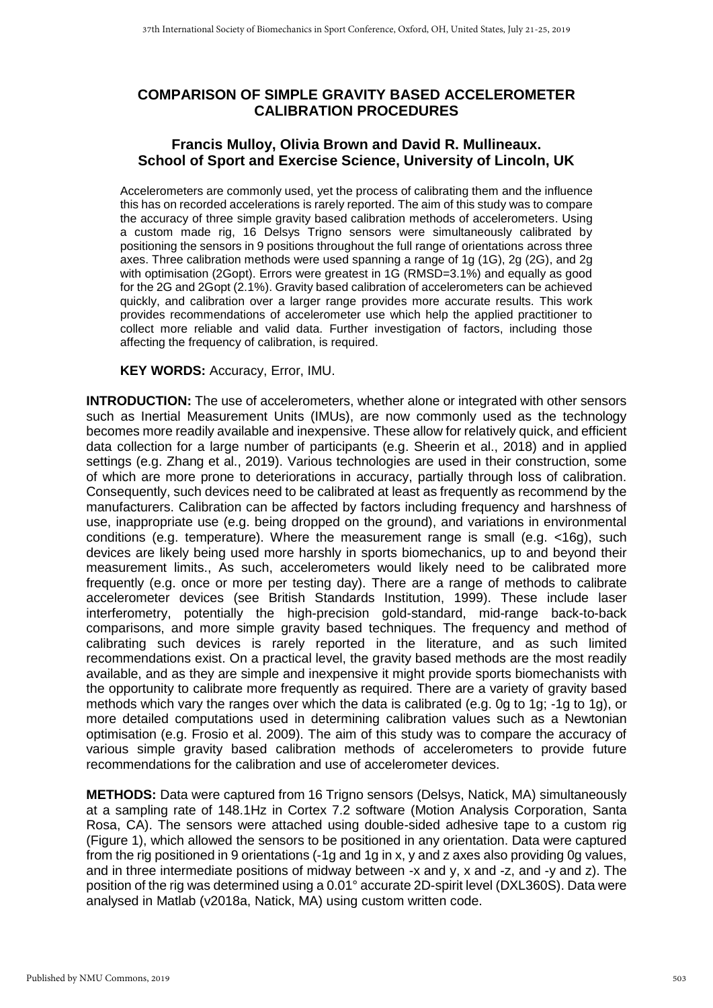## **COMPARISON OF SIMPLE GRAVITY BASED ACCELEROMETER CALIBRATION PROCEDURES**

## **Francis Mulloy, Olivia Brown and David R. Mullineaux. School of Sport and Exercise Science, University of Lincoln, UK**

Accelerometers are commonly used, yet the process of calibrating them and the influence this has on recorded accelerations is rarely reported. The aim of this study was to compare the accuracy of three simple gravity based calibration methods of accelerometers. Using a custom made rig, 16 Delsys Trigno sensors were simultaneously calibrated by positioning the sensors in 9 positions throughout the full range of orientations across three axes. Three calibration methods were used spanning a range of 1g (1G), 2g (2G), and 2g with optimisation (2Gopt). Errors were greatest in 1G (RMSD=3.1%) and equally as good for the 2G and 2Gopt (2.1%). Gravity based calibration of accelerometers can be achieved quickly, and calibration over a larger range provides more accurate results. This work provides recommendations of accelerometer use which help the applied practitioner to collect more reliable and valid data. Further investigation of factors, including those affecting the frequency of calibration, is required.

**KEY WORDS:** Accuracy, Error, IMU.

**INTRODUCTION:** The use of accelerometers, whether alone or integrated with other sensors such as Inertial Measurement Units (IMUs), are now commonly used as the technology becomes more readily available and inexpensive. These allow for relatively quick, and efficient data collection for a large number of participants (e.g. Sheerin et al., 2018) and in applied settings (e.g. Zhang et al., 2019). Various technologies are used in their construction, some of which are more prone to deteriorations in accuracy, partially through loss of calibration. Consequently, such devices need to be calibrated at least as frequently as recommend by the manufacturers. Calibration can be affected by factors including frequency and harshness of use, inappropriate use (e.g. being dropped on the ground), and variations in environmental conditions (e.g. temperature). Where the measurement range is small (e.g. <16g), such devices are likely being used more harshly in sports biomechanics, up to and beyond their measurement limits., As such, accelerometers would likely need to be calibrated more frequently (e.g. once or more per testing day). There are a range of methods to calibrate accelerometer devices (see British Standards Institution, 1999). These include laser interferometry, potentially the high-precision gold-standard, mid-range back-to-back comparisons, and more simple gravity based techniques. The frequency and method of calibrating such devices is rarely reported in the literature, and as such limited recommendations exist. On a practical level, the gravity based methods are the most readily available, and as they are simple and inexpensive it might provide sports biomechanists with the opportunity to calibrate more frequently as required. There are a variety of gravity based methods which vary the ranges over which the data is calibrated (e.g. 0g to 1g; -1g to 1g), or more detailed computations used in determining calibration values such as a Newtonian optimisation (e.g. Frosio et al. 2009). The aim of this study was to compare the accuracy of various simple gravity based calibration methods of accelerometers to provide future recommendations for the calibration and use of accelerometer devices.

**METHODS:** Data were captured from 16 Trigno sensors (Delsys, Natick, MA) simultaneously at a sampling rate of 148.1Hz in Cortex 7.2 software (Motion Analysis Corporation, Santa Rosa, CA). The sensors were attached using double-sided adhesive tape to a custom rig (Figure 1), which allowed the sensors to be positioned in any orientation. Data were captured from the rig positioned in 9 orientations (-1g and 1g in x, y and z axes also providing 0g values, and in three intermediate positions of midway between -x and y, x and -z, and -y and z). The position of the rig was determined using a 0.01° accurate 2D-spirit level (DXL360S). Data were analysed in Matlab (v2018a, Natick, MA) using custom written code.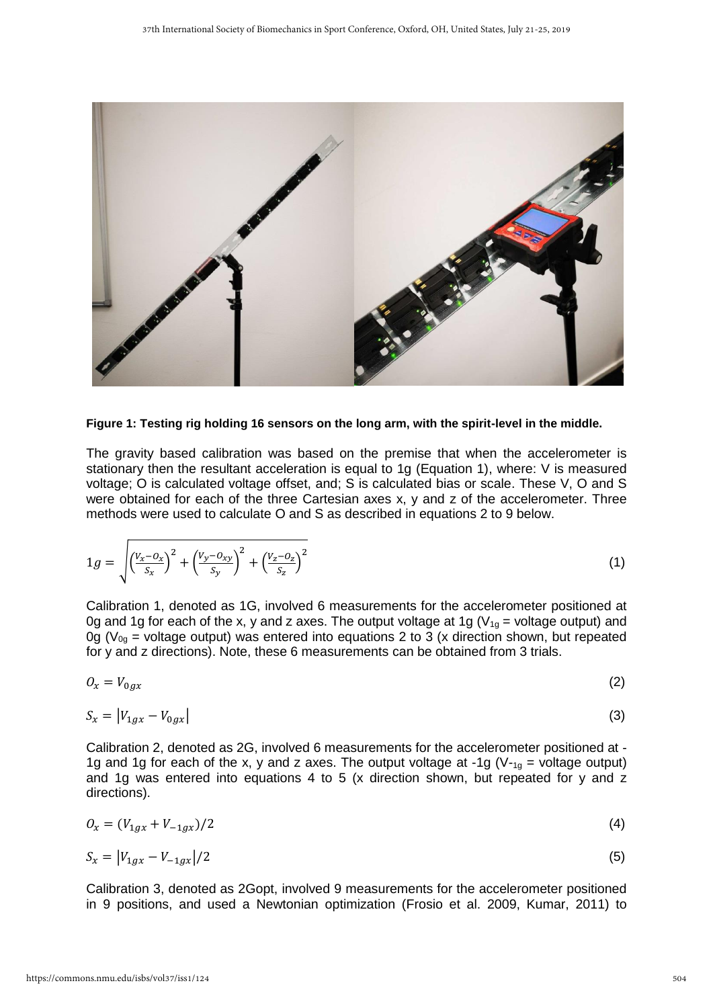

## **Figure 1: Testing rig holding 16 sensors on the long arm, with the spirit-level in the middle.**

The gravity based calibration was based on the premise that when the accelerometer is stationary then the resultant acceleration is equal to 1g (Equation 1), where: V is measured voltage; O is calculated voltage offset, and; S is calculated bias or scale. These V, O and S were obtained for each of the three Cartesian axes x, y and z of the accelerometer. Three methods were used to calculate O and S as described in equations 2 to 9 below.

$$
1g = \sqrt{\left(\frac{V_x - O_x}{S_x}\right)^2 + \left(\frac{V_y - O_{xy}}{S_y}\right)^2 + \left(\frac{V_z - O_z}{S_z}\right)^2}
$$
(1)

Calibration 1, denoted as 1G, involved 6 measurements for the accelerometer positioned at 0g and 1g for each of the x, y and z axes. The output voltage at 1g ( $V_{1q}$  = voltage output) and  $0g$  (V<sub>0g</sub> = voltage output) was entered into equations 2 to 3 (x direction shown, but repeated for y and z directions). Note, these 6 measurements can be obtained from 3 trials.

$$
O_x = V_{0gx} \tag{2}
$$

$$
S_x = |V_{1gx} - V_{0gx}| \tag{3}
$$

Calibration 2, denoted as 2G, involved 6 measurements for the accelerometer positioned at - 1g and 1g for each of the x, y and z axes. The output voltage at -1g ( $V_{-1g}$  = voltage output) and 1g was entered into equations 4 to 5 (x direction shown, but repeated for y and z directions).

$$
O_x = (V_{1gx} + V_{-1gx})/2 \tag{4}
$$

$$
S_x = |V_{1gx} - V_{-1gx}|/2 \tag{5}
$$

Calibration 3, denoted as 2Gopt, involved 9 measurements for the accelerometer positioned in 9 positions, and used a Newtonian optimization (Frosio et al. 2009, Kumar, 2011) to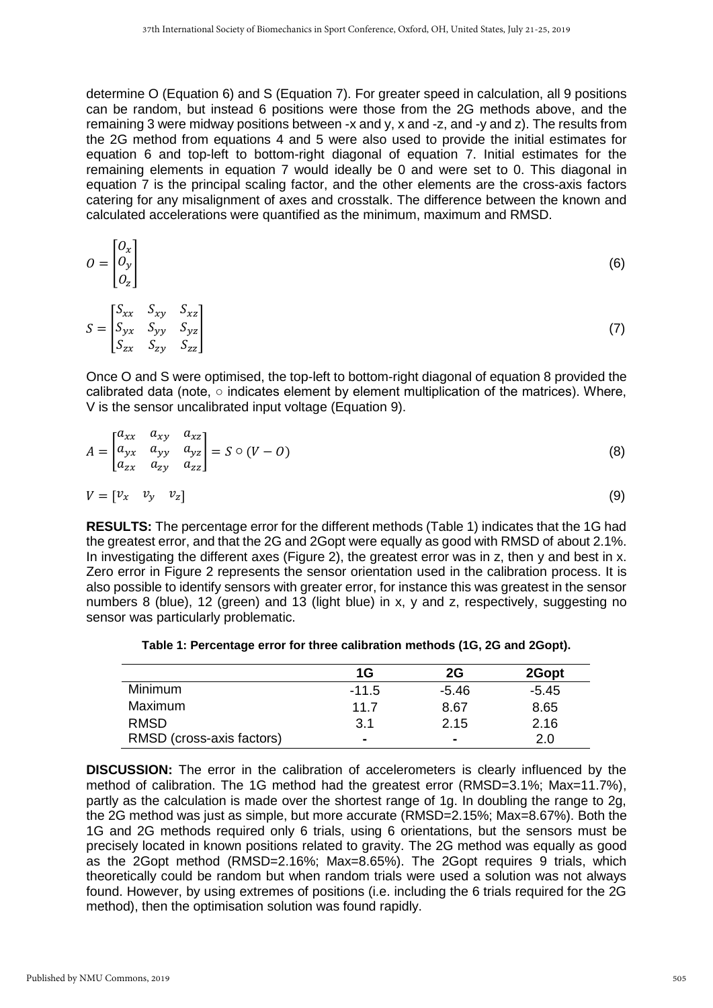determine O (Equation 6) and S (Equation 7). For greater speed in calculation, all 9 positions can be random, but instead 6 positions were those from the 2G methods above, and the remaining 3 were midway positions between -x and y, x and -z, and -y and z). The results from the 2G method from equations 4 and 5 were also used to provide the initial estimates for equation 6 and top-left to bottom-right diagonal of equation 7. Initial estimates for the remaining elements in equation 7 would ideally be 0 and were set to 0. This diagonal in equation 7 is the principal scaling factor, and the other elements are the cross-axis factors catering for any misalignment of axes and crosstalk. The difference between the known and calculated accelerations were quantified as the minimum, maximum and RMSD.

$$
O = \begin{bmatrix} O_x \\ O_y \\ O_z \end{bmatrix} \tag{6}
$$

$$
S = \begin{bmatrix} S_{xx} & S_{xy} & S_{xz} \\ S_{yx} & S_{yy} & S_{yz} \\ S_{zx} & S_{zy} & S_{zz} \end{bmatrix} \tag{7}
$$

Once O and S were optimised, the top-left to bottom-right diagonal of equation 8 provided the calibrated data (note, ○ indicates element by element multiplication of the matrices). Where, V is the sensor uncalibrated input voltage (Equation 9).

$$
A = \begin{bmatrix} a_{xx} & a_{xy} & a_{xz} \\ a_{yx} & a_{yy} & a_{yz} \\ a_{zx} & a_{zy} & a_{zz} \end{bmatrix} = S \circ (V - O)
$$
(8)  

$$
V = \begin{bmatrix} v_x & v_y & v_z \end{bmatrix}
$$

**RESULTS:** The percentage error for the different methods (Table 1) indicates that the 1G had the greatest error, and that the 2G and 2Gopt were equally as good with RMSD of about 2.1%. In investigating the different axes (Figure 2), the greatest error was in z, then y and best in x. Zero error in Figure 2 represents the sensor orientation used in the calibration process. It is also possible to identify sensors with greater error, for instance this was greatest in the sensor numbers 8 (blue), 12 (green) and 13 (light blue) in x, y and z, respectively, suggesting no sensor was particularly problematic.

|  | Table 1: Percentage error for three calibration methods (1G, 2G and 2Gopt). |  |  |  |  |  |  |  |
|--|-----------------------------------------------------------------------------|--|--|--|--|--|--|--|
|--|-----------------------------------------------------------------------------|--|--|--|--|--|--|--|

|                           | 1G             | 2G             | 2Gopt   |
|---------------------------|----------------|----------------|---------|
| <b>Minimum</b>            | $-11.5$        | -5.46          | $-5.45$ |
| Maximum                   | 11.7           | 8.67           | 8.65    |
| <b>RMSD</b>               | 3.1            | 2.15           | 2.16    |
| RMSD (cross-axis factors) | $\blacksquare$ | $\blacksquare$ | 2.0     |

**DISCUSSION:** The error in the calibration of accelerometers is clearly influenced by the method of calibration. The 1G method had the greatest error (RMSD=3.1%; Max=11.7%), partly as the calculation is made over the shortest range of 1g. In doubling the range to 2g, the 2G method was just as simple, but more accurate (RMSD=2.15%; Max=8.67%). Both the 1G and 2G methods required only 6 trials, using 6 orientations, but the sensors must be precisely located in known positions related to gravity. The 2G method was equally as good as the 2Gopt method (RMSD=2.16%; Max=8.65%). The 2Gopt requires 9 trials, which theoretically could be random but when random trials were used a solution was not always found. However, by using extremes of positions (i.e. including the 6 trials required for the 2G method), then the optimisation solution was found rapidly.